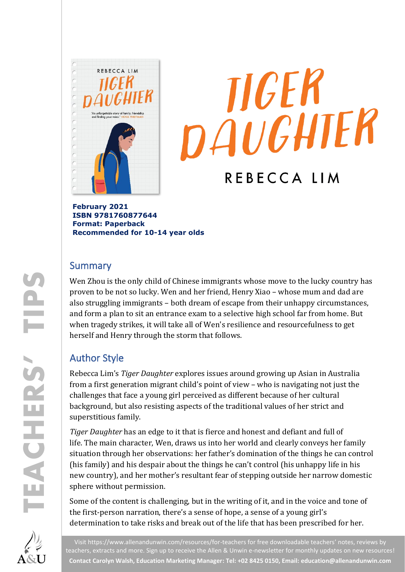



**February 2021 ISBN 9781760877644 Format: Paperback Recommended for 10-14 year olds**

### Summary

Wen Zhou is the only child of Chinese immigrants whose move to the lucky country has proven to be not so lucky. Wen and her friend, Henry Xiao – whose mum and dad are also struggling immigrants – both dream of escape from their unhappy circumstances, and form a plan to sit an entrance exam to a selective high school far from home. But when tragedy strikes, it will take all of Wen's resilience and resourcefulness to get herself and Henry through the storm that follows.

## Author Style

Rebecca Lim's *Tiger Daughter* explores issues around growing up Asian in Australia from a first generation migrant child's point of view – who is navigating not just the challenges that face a young girl perceived as different because of her cultural background, but also resisting aspects of the traditional values of her strict and superstitious family.

*Tiger Daughter* has an edge to it that is fierce and honest and defiant and full of life. The main character, Wen, draws us into her world and clearly conveys her family situation through her observations: her father's domination of the things he can control (his family) and his despair about the things he can't control (his unhappy life in his new country), and her mother's resultant fear of stepping outside her narrow domestic sphere without permission.

Some of the content is challenging, but in the writing of it, and in the voice and tone of the first-person narration, there's a sense of hope, a sense of a young girl's determination to take risks and break out of the life that has been prescribed for her.

Visit<https://www.allenandunwin.com/resources/for-teachers> for free downloadable teachers' notes, reviews by teachers, extracts and more. Sign up to receive the Allen & Unwin e-newsletter for monthly updates on new resources! **Contact Carolyn Walsh, Education Marketing Manager: Tel: +02 8425 0150, Email[: education@allenandunwin.com](mailto:education@allenandunwin.com)**

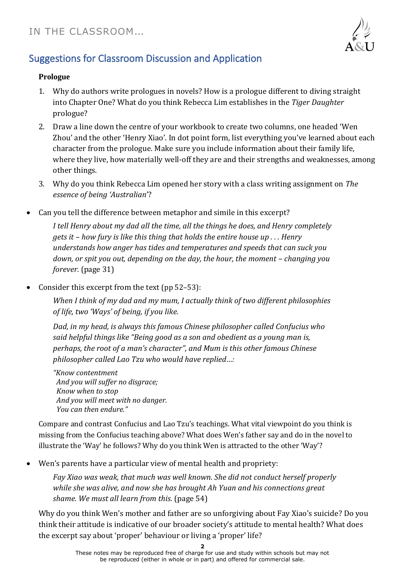

# Suggestions for Classroom Discussion and Application

#### **Prologue**

- 1. Why do authors write prologues in novels? How is a prologue different to diving straight into Chapter One? What do you think Rebecca Lim establishes in the *Tiger Daughter* prologue?
- 2. Draw a line down the centre of your workbook to create two columns, one headed 'Wen Zhou' and the other 'Henry Xiao'. In dot point form, list everything you've learned about each character from the prologue. Make sure you include information about their family life, where they live, how materially well-off they are and their strengths and weaknesses, among other things.
- 3. Why do you think Rebecca Lim opened her story with a class writing assignment on *The essence of being 'Australian*'?
- Can you tell the difference between metaphor and simile in this excerpt?

*I tell Henry about my dad all the time, all the things he does, and Henry completely gets it – how fury is like this thing that holds the entire house up . . . Henry understands how anger has tides and temperatures and speeds that can suck you down, or spit you out, depending on the day, the hour, the moment – changing you forever.* (page 31)

• Consider this excerpt from the text (pp 52–53):

*When I think of my dad and my mum, I actually think of two different philosophies of life, two 'Ways' of being, if you like.* 

*Dad, in my head, is always this famous Chinese philosopher called Confucius who said helpful things like "Being good as a son and obedient as a young man is, perhaps, the root of a man's character", and Mum is this other famous Chinese philosopher called Lao Tzu who would have replied…:*

*"Know contentment And you will suffer no disgrace; Know when to stop And you will meet with no danger. You can then endure."*

Compare and contrast Confucius and Lao Tzu's teachings. What vital viewpoint do you think is missing from the Confucius teaching above? What does Wen's father say and do in the novel to illustrate the 'Way' he follows? Why do you think Wen is attracted to the other 'Way'?

• Wen's parents have a particular view of mental health and propriety:

*Fay Xiao was weak, that much was well known. She did not conduct herself properly while she was alive, and now she has brought Ah Yuan and his connections great shame. We must all learn from this.* (page 54)

Why do you think Wen's mother and father are so unforgiving about Fay Xiao's suicide? Do you think their attitude is indicative of our broader society's attitude to mental health? What does the excerpt say about 'proper' behaviour or living a 'proper' life?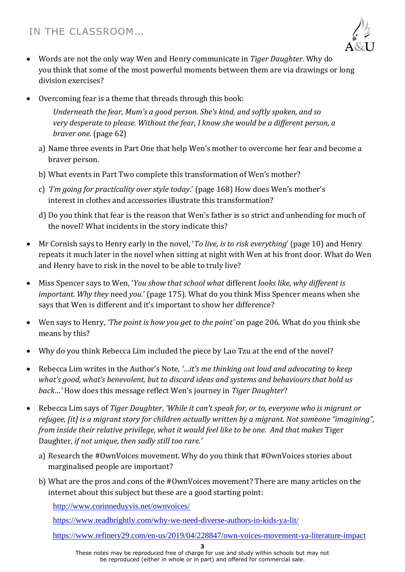

- Words are not the only way Wen and Henry communicate in *Tiger Daughter*. Why do you think that some of the most powerful moments between them are via drawings or long division exercises?
- Overcoming fear is a theme that threads through this book:

*Underneath the fear, Mum's a good person. She's kind, and softly spoken, and so very desperate to please. Without the fear, I know she would be a different person, a braver one.* (page 62)

- a) Name three events in Part One that help Wen's mother to overcome her fear and become a braver person.
- b) What events in Part Two complete this transformation of Wen's mother?
- c) *'I'm going for practicality over style today*.' (page 168) How does Wen's mother's interest in clothes and accessories illustrate this transformation?
- d) Do you think that fear is the reason that Wen's father is so strict and unbending for much of the novel? What incidents in the story indicate this?
- Mr Cornish says to Henry early in the novel, '*To live, is to risk everything*' (page 10) and Henry repeats it much later in the novel when sitting at night with Wen at his front door. What do Wen and Henry have to risk in the novel to be able to truly live?
- Miss Spencer says to Wen, '*You show that school what* different *looks like, why different is important. Why they* need *you.*' (page 175). What do you think Miss Spencer means when she says that Wen is different and it's important to show her difference?
- Wen says to Henry, *'The point is how you get to the point'* on page 206. What do you think she means by this?
- Why do you think Rebecca Lim included the piece by Lao Tzu at the end of the novel?
- Rebecca Lim writes in the Author's Note*, '…it's me thinking out loud and advocating to keep what's good, what's benevolent, but to discard ideas and systems and behaviours that hold us back…'* How does this message reflect Wen's journey in *Tiger Daughter*?
- Rebecca Lim says of *Tiger Daughter*, *'While it can't speak for, or to, everyone who is migrant or refugee, [it] is a migrant story for children actually written by a migrant. Not someone "imagining", from inside their relative privilege, what it would feel like to be one. And that makes* Tiger Daughter*, if not unique, then sadly still too rare.'*
	- a) Research the #OwnVoices movement. Why do you think that #OwnVoices stories about marginalised people are important?
	- b) What are the pros and cons of the #OwnVoices movement? There are many articles on the internet about this subject but these are a good starting point:

<http://www.corinneduyvis.net/ownvoices/>

<https://www.readbrightly.com/why-we-need-diverse-authors-in-kids-ya-lit/>

<https://www.refinery29.com/en-us/2019/04/228847/own-voices-movement-ya-literature-impact>